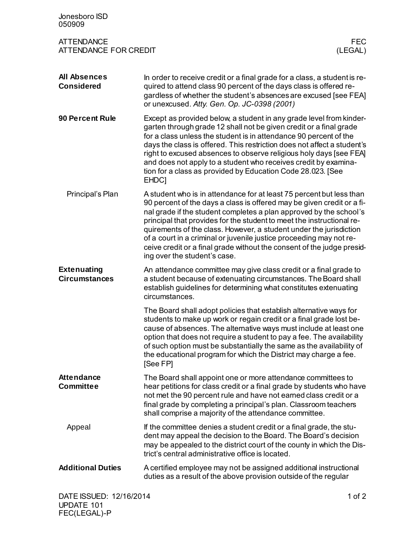| Jonesboro ISD<br>050909                           |                                                                                                                                                                                                                                                                                                                                                                                                                                                                                                                                                      |                       |
|---------------------------------------------------|------------------------------------------------------------------------------------------------------------------------------------------------------------------------------------------------------------------------------------------------------------------------------------------------------------------------------------------------------------------------------------------------------------------------------------------------------------------------------------------------------------------------------------------------------|-----------------------|
| <b>ATTENDANCE</b><br><b>ATTENDANCE FOR CREDIT</b> |                                                                                                                                                                                                                                                                                                                                                                                                                                                                                                                                                      | <b>FEC</b><br>(LEGAL) |
| <b>All Absences</b><br><b>Considered</b>          | In order to receive credit or a final grade for a class, a student is re-<br>quired to attend class 90 percent of the days class is offered re-<br>gardless of whether the student's absences are excused [see FEA]<br>or unexcused. Atty. Gen. Op. JC-0398 (2001)                                                                                                                                                                                                                                                                                   |                       |
| 90 Percent Rule                                   | Except as provided below, a student in any grade level from kinder-<br>garten through grade 12 shall not be given credit or a final grade<br>for a class unless the student is in attendance 90 percent of the<br>days the class is offered. This restriction does not affect a student's<br>right to excused absences to observe religious holy days [see FEA]<br>and does not apply to a student who receives credit by examina-<br>tion for a class as provided by Education Code 28.023. [See<br>EHDC <sub>1</sub>                               |                       |
| Principal's Plan                                  | A student who is in attendance for at least 75 percent but less than<br>90 percent of the days a class is offered may be given credit or a fi-<br>nal grade if the student completes a plan approved by the school's<br>principal that provides for the student to meet the instructional re-<br>quirements of the class. However, a student under the jurisdiction<br>of a court in a criminal or juvenile justice proceeding may not re-<br>ceive credit or a final grade without the consent of the judge presid-<br>ing over the student's case. |                       |
| <b>Extenuating</b><br><b>Circumstances</b>        | An attendance committee may give class credit or a final grade to<br>a student because of extenuating circumstances. The Board shall<br>establish guidelines for determining what constitutes extenuating<br>circumstances.                                                                                                                                                                                                                                                                                                                          |                       |
|                                                   | The Board shall adopt policies that establish alternative ways for<br>students to make up work or regain credit or a final grade lost be-<br>cause of absences. The alternative ways must include at least one<br>option that does not require a student to pay a fee. The availability<br>of such option must be substantially the same as the availability of<br>the educational program for which the District may charge a fee.<br>[See FP]                                                                                                      |                       |
| <b>Attendance</b><br><b>Committee</b>             | The Board shall appoint one or more attendance committees to<br>hear petitions for class credit or a final grade by students who have<br>not met the 90 percent rule and have not earned class credit or a<br>final grade by completing a principal's plan. Classroom teachers<br>shall comprise a majority of the attendance committee.                                                                                                                                                                                                             |                       |
| Appeal                                            | If the committee denies a student credit or a final grade, the stu-<br>dent may appeal the decision to the Board. The Board's decision<br>may be appealed to the district court of the county in which the Dis-<br>trict's central administrative office is located.                                                                                                                                                                                                                                                                                 |                       |
| <b>Additional Duties</b>                          | A certified employee may not be assigned additional instructional<br>duties as a result of the above provision outside of the regular                                                                                                                                                                                                                                                                                                                                                                                                                |                       |
| DATE ISSUED: 12/16/2014                           |                                                                                                                                                                                                                                                                                                                                                                                                                                                                                                                                                      | 1 of $2$              |